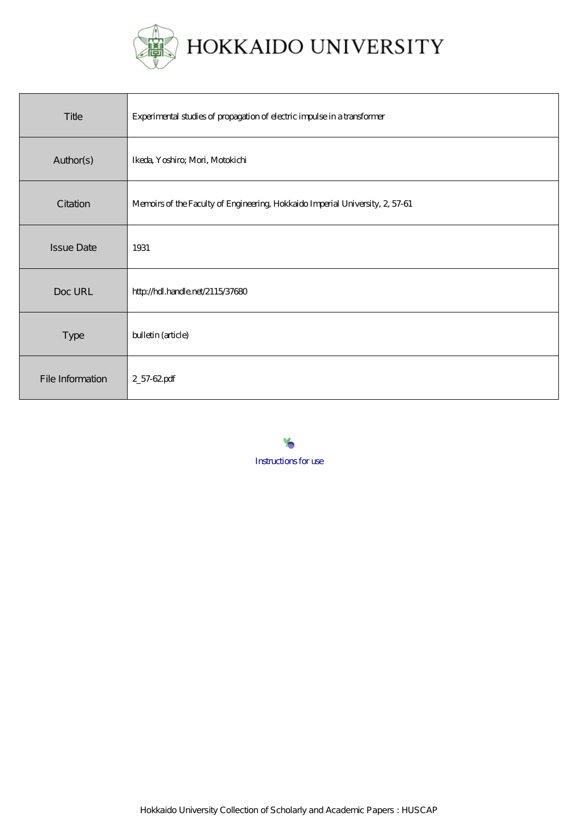

| Title             | Experimental studies of propagation of electric impulse in a transformer      |
|-------------------|-------------------------------------------------------------------------------|
| Author(s)         | Ikeda, Yoshiro; Mori, Motokichi                                               |
| Citation          | Memoirs of the Faculty of Engineering, Hokkaido Imperial University, 2, 57-61 |
| <b>Issue Date</b> | 1931                                                                          |
| Doc URL           | http://hdl.handle.net/2115/37680                                              |
| Type              | bulletin (article)                                                            |
| File Information  | 257-62pdf                                                                     |

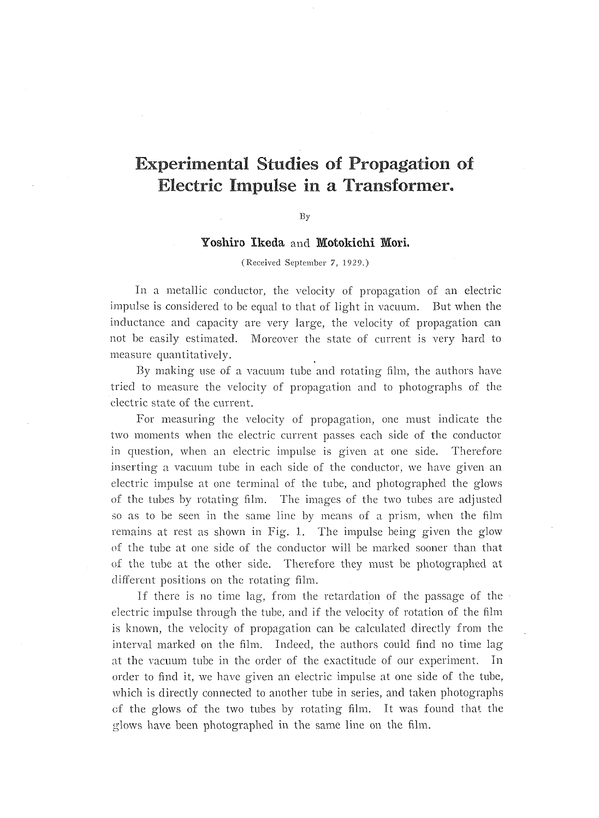# **Experimental Studies of Propagation of** Electric Impulse in a Transformer.

By

Yoshiro Ikeda and Motokichi Mori.

(Received September 7, 1929.)

In a metallic conductor, the velocity of propagation of an electric impulse is considered to be equal to that of light in vacuum. But when the inductance and capacity are very large, the velocity of propagation can not be easily estimated. Moreover the state of current is very hard to measure quantitatively.

By making use of a vacuum tube and rotating film, the authors have tried to measure the velocity of propagation and to photographs of the electric state of the current.

For measuring the velocity of propagation, one must indicate the two moments when the electric current passes each side of the conductor in question, when an electric impulse is given at one side. Therefore inserting a vacuum tube in each side of the conductor, we have given an electric impulse at one terminal of the tube, and photographed the glows of the tubes by rotating film. The images of the two tubes are adjusted so as to be seen in the same line by means of a prism, when the film remains at rest as shown in Fig. 1. The impulse being given the glow of the tube at one side of the conductor will be marked sooner than that of the tube at the other side. Therefore they must be photographed at different positions on the rotating film.

If there is no time lag, from the retardation of the passage of the electric impulse through the tube, and if the velocity of rotation of the film is known, the velocity of propagation can be calculated directly from the interval marked on the film. Indeed, the authors could find no time lag at the vacuum tube in the order of the exactitude of our experiment. In order to find it, we have given an electric impulse at one side of the tube, which is directly connected to another tube in series, and taken photographs of the glows of the two tubes by rotating film. It was found that the glows have been photographed in the same line on the film.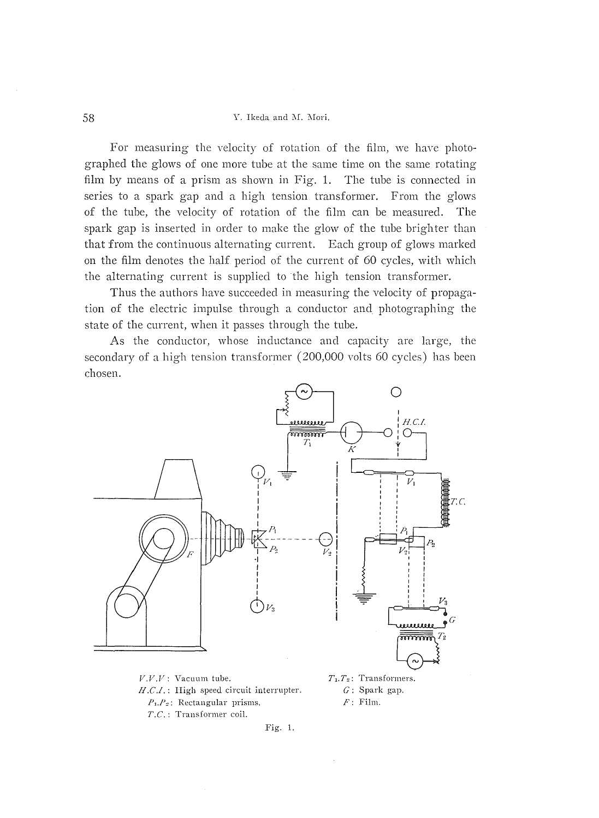## Y. Ikeda and M. Mori.

For measuring the velocity of rotation of the film, we have photographed the glows of one more tube at the same time on the same rotating film by means of a prism as shown in Fig. 1. The tube is connected in series to a spark gap and a high tension transformer. From the glows of the tube, the velocity of rotation of the film can be measured. The spark gap is inserted in order to make the glow of the tube brighter than that from the continuous alternating current. Each group of glows marked on the film denotes the half period of the current of 60 cycles, with which the alternating current is supplied to the high tension transformer.

Thus the authors have succeeded in measuring the velocity of propagation of the electric impulse through a conductor and photographing the state of the current, when it passes through the tube.

As the conductor, whose inductance and capacity are large, the secondary of a high tension transformer (200,000 volts 60 cycles) has been chosen.



 $V.V. V$ : Vacuum tube.  $H.C.I.$ : High speed circuit interrupter.  $P_1.P_2$ : Rectangular prisms. T.C.: Transformer coil.



Fig. 1.

58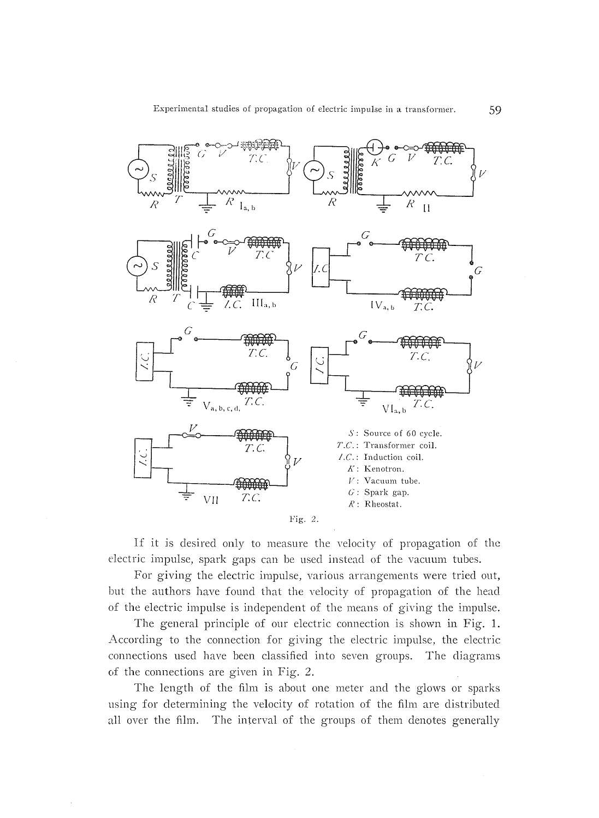

If it is desired only to measure the velocity of propagation of the electric impulse, spark gaps can be used instead of the vacuum tubes.

For giving the electric impulse, various arrangements were tried out, but the authors have found that the velocity of propagation of the head of the electric impulse is independent of the means of giving the impulse.

The general principle of our electric connection is shown in Fig. 1. According to the connection for giving the electric impulse, the electric connections used have been classified into seven groups. The diagrams of the connections are given in Fig. 2.

The length of the film is about one meter and the glows or sparks using for determining the velocity of rotation of the film are distributed all over the film. The interval of the groups of them denotes generally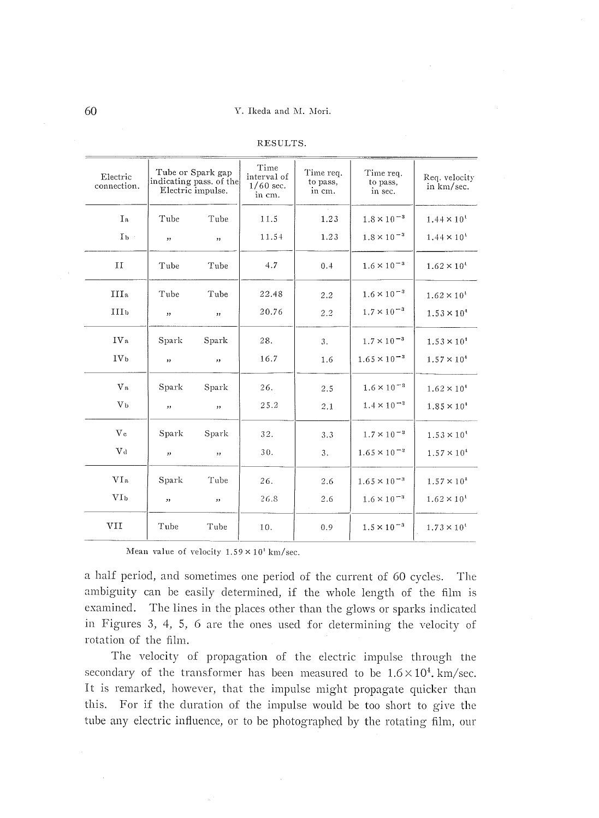### Y. Ikeda and M. Mori.

| Electric<br>connection. | Tube or Spark gap<br>indicating pass, of the<br>Electric impulse. |                            | Time<br>interval of<br>$1/60$ sec.<br>in cm. | Time req.<br>to pass,<br>in cm. | Time req.<br>to pass,<br>in sec. | Req. velocity<br>in km/sec. |
|-------------------------|-------------------------------------------------------------------|----------------------------|----------------------------------------------|---------------------------------|----------------------------------|-----------------------------|
| Ia                      | Tube                                                              | Tube                       | 11.5                                         | 1.23                            | $1.8 \times 10^{-3}$             | $1.44 \times 10^{1}$        |
| Ib :                    | ,,                                                                | ,                          | 11.54                                        | 1.23                            | $1.8\times10^{\,-3}$             | $1.44 \times 10^{1}$        |
| II                      | Tube                                                              | Tube                       | 4.7                                          | 0.4                             | $1.6 \times 10^{-3}$             | $1.62 \times 10^{4}$        |
| III <sub>a</sub>        | Tube                                                              | Tube                       | 22.48                                        | 2.2                             | $1.6\times10^{-3}$               | $1.62 \times 10^{4}$        |
| <b>III</b> <sub>b</sub> | , ,                                                               | ,,                         | 20.76                                        | 2.2                             | $1.7 \times 10^{-3}$             | $1.53 \times 10^{4}$        |
| IV <sub>a</sub>         | Spark                                                             | Spark                      | 28.                                          | 3.                              | $1.7\times10^{\,-3}$             | $1.53 \times 10^{1}$        |
| IV <sub>b</sub>         | ,,                                                                | ,                          | 16.7                                         | 1.6                             | $1.65 \times 10^{-3}$            | $1.57 \times 10^{4}$        |
| V <sub>a</sub>          | Spark                                                             | Spark                      | 26.                                          | 2.5                             | $1.6 \times 10^{-8}$             | $1.62 \times 10^{1}$        |
| V <sub>b</sub>          | $\boldsymbol{\mathcal{H}}$                                        | , ,                        | 25.2                                         | 2.1                             | $1.4 \times 10^{-3}$             | $1.85 \times 10^{4}$        |
| $V_{c}$                 | Spark                                                             | Spark                      | 32.                                          | 3.3                             | $1.7 \times 10^{-3}$             | $1.53 \times 10^{1}$        |
| Vd                      | ,,                                                                | ,,                         | 30.                                          | 3.                              | $1.65\times10^{-3}$              | $1.57 \times 10^{4}$        |
| VI <sub>a</sub>         | Spark                                                             | Tube                       | 26.                                          | 2.6                             | $1.65\times10^{-3}$              | $1.57 \times 10^{4}$        |
| VI <sub>b</sub>         | $\boldsymbol{\mathcal{H}}$                                        | $\boldsymbol{\mathcal{Y}}$ | 26.8                                         | 2.6                             | $1.6 \times 10^{-3}$             | $1.62 \times 10^{1}$        |
| VII                     | Tube                                                              | Tube                       | 10.                                          | 0.9                             | $1.5 \times 10^{-3}$             | $1.73 \times 10^{4}$        |

#### RESULTS.

Mean value of velocity  $1.59 \times 10^{4}$  km/sec.

a half period, and sometimes one period of the current of 60 cycles. The ambiguity can be easily determined, if the whole length of the film is examined. The lines in the places other than the glows or sparks indicated in Figures 3, 4, 5, 6 are the ones used for determining the velocity of rotation of the film.

The velocity of propagation of the electric impulse through the secondary of the transformer has been measured to be  $1.6 \times 10^4$ . km/sec. It is remarked, however, that the impulse might propagate quicker than this. For if the duration of the impulse would be too short to give the tube any electric influence, or to be photographed by the rotating film, our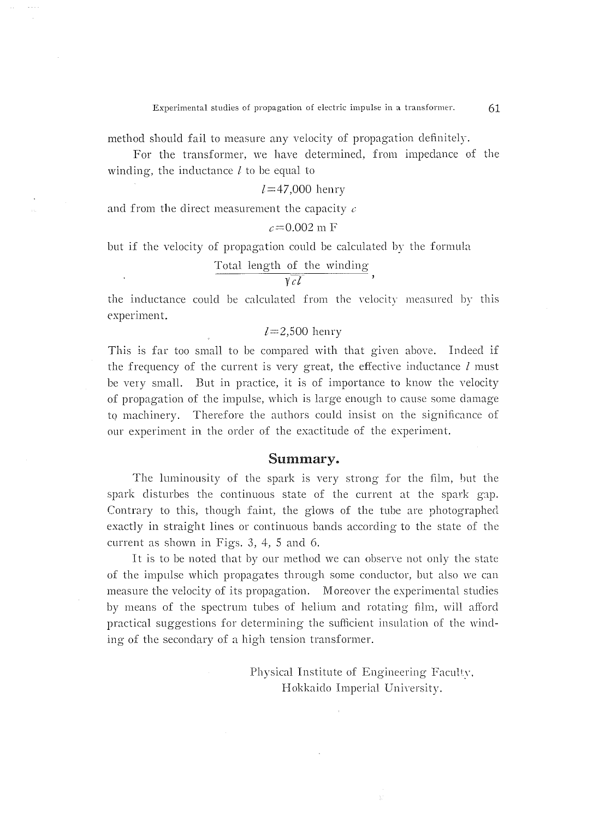method should fail to measure any velocity of propagation definitely.

 For the transformer, xve have determined, from impedance of the winding, the inductance  $l$  to be equal to

 $l = 47,000$  henry

and from the direct measurement the capacity  $c$ 

 $c$ =0.002 m F

but if the velocity of propagation could be calculated by the formula

Total length of the winding

$$
\sqrt{cl}
$$

the inductance could be calculated from the velocity measured by this<br>experiment.

## $l=2,500$  henry

This is far too small to be compared with that given above. Indeed if the frequency of the current is very great, the effective inductance  $l$  must be very small. But in practice, it is of importance to know the velocity of propagation of the impulse, which is large enough to cause some damage to machinery. Therefore the authors could insist on the significance of our experiment in the order of the exactitude of the experiment.

# Summary.

The luminousity of the spark is very strong for the film, but the spark disturbes the continuous state of the current at the spark gap. Contrary to this, though faint, the glows of the tube are photographed exactly in straight lines or continuous bands according to the state of the current as shown in Figs. 3, 4, 5 and 6.

It is to be noted that by our method we can observe not only the state of the impulse which propagates through some conductor, but also we can measure the velocity of its propagation. Moreover the experimental studies by means of the spectrum tubes of helium and rotating film, will afford practical suggestions for determining the sufficient insulation of the winding of the secondary of a high tension transformer.

> Physical Institute of Engineering Faculty, Hokkaido Imperial University.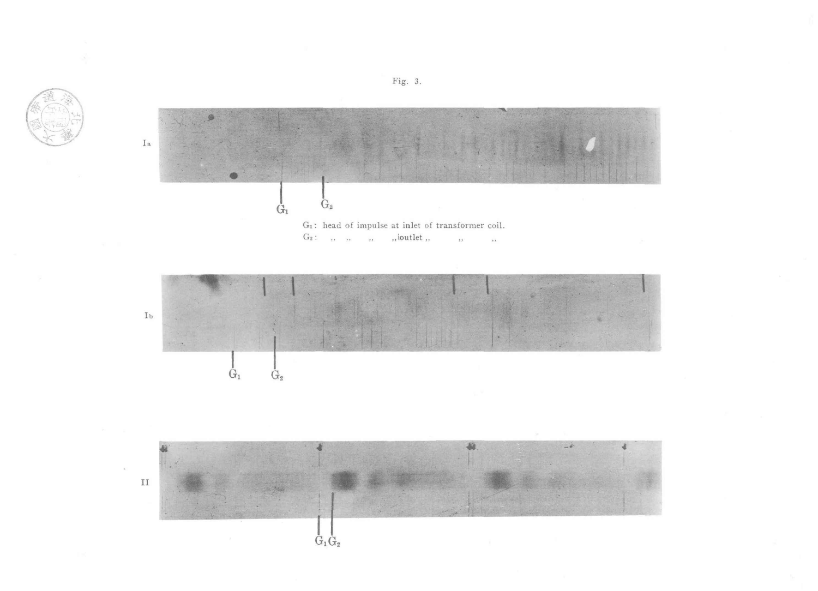



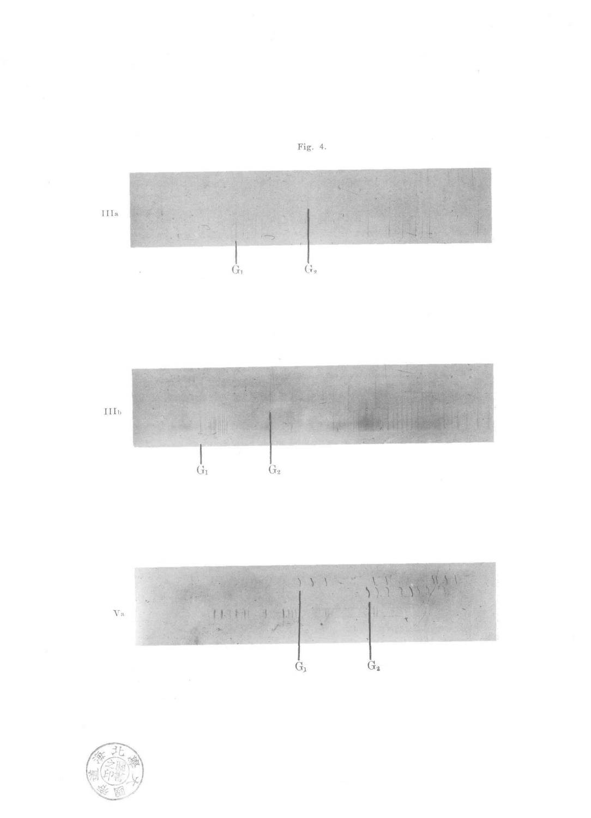



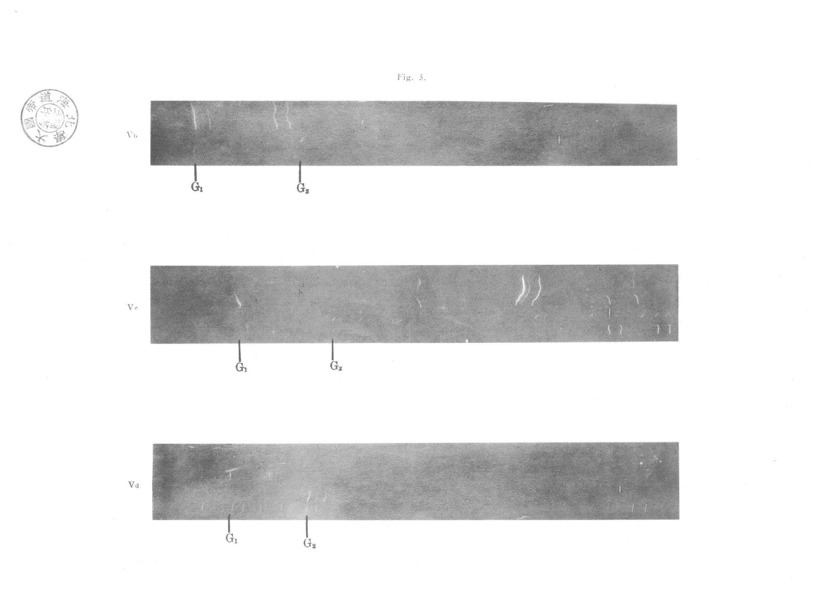